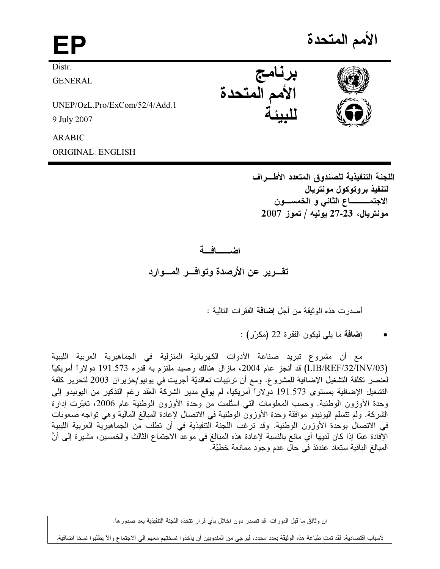الأمم المتحدة

**Distr** 

**GENERAL** 

 $LINEP/OzL Pro/ExCom/52/4/Add 1$ 9 July 2007

**ARABIC** 

**ORIGINAL: ENGLISH** 

اللجنة التنفيذية للصندوق المتعدد الأطـــراف لتنفيذ بروتوكول مونتريال الاجتمـــــــــــاع الثاني و الـخمســــون مونتريال، 23-27 يوليه / تموز 2007

## اضعافية

تقـــرير عن الأرصدة وتوافـــر المــــوارد

أصدرت هذه الوثيقة من أجل إ**ضافة** الفقر ات التالية :

إ**ضافة** ما يلي ليكون الفقرة 22 (مكرّر) :

مع أن مشروع تبريد صناعة الأدوات الكهربائية المنزلية في الجماهيرية العربية الليبية (LIB/REF/32/INV/03) قد أنجز عام 2004، مازال هنالك رصيد ملتزم به قدره 191.573 دولاراً أمريكياً لعنصر تكلفة التشغيل الإضافية للمشروع. ومع أن ترتيبات تعاقديّة أجريت في يونيو/حزيران 2003 لتحرير كلفة التشغيل الإضافية بمستوى 191.573 دولاراً أمريكياً، لم يوقع مدير الشركة العقد رغم التذكير من اليونيدو إلى وحدة الأوزون الوطنية. وحسب المعلومات التي اسئلمت من وحدة الأوزون الوطنية عام 2006، تغيَّرت إدارة الشركة. ولم تتسلَّم اليونيدو موافقة وحدة الأوزون الوطنية في الاتصال لإعادة المبالغ المالية وهي تواجه صعوبات في الاتصال بوحدة الأوزون الوطنية. وقد ترغب اللجنة التنفيذية في أن تطلب من الجماهيرية العربية الليبية الإفادة عمّا إذا كان لديها أي مانع بالنسبة لإعادة هذه المبالغ في موعدٌ الاجتماع الثالث والخمسين، مشيرة إلى أنّ المبالغ الباقية ستعاد عندئذ في حال عدم وجود ممانعة خطيّة.

ان وثائق ما قبل الدورات قد تصدر دون اخلال بأي قرار تتخذه اللجنة التنفيذية بعد صدور ها.

لأسباب اقتصادية، لقد تمت طباعة هذه الوثيقة بعدد محدد، فيرجى من المندوبين أن يأخذوا نسختهم معهم الى الاجتماع وألآ يطلبوا نسخا اضافية.





برنامج<br>الأمم المتحدة